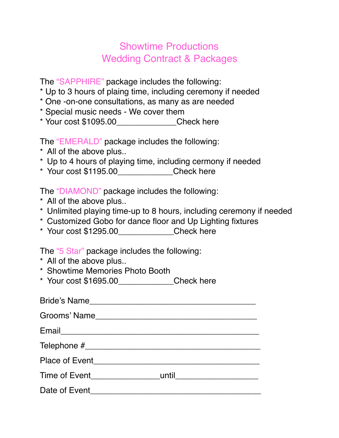## Showtime Productions Wedding Contract & Packages

The "SAPPHIRE" package includes the following:

- \* Up to 3 hours of plaing time, including ceremony if needed
- \* One -on-one consultations, as many as are needed
- \* Special music needs We cover them
- \* Your cost \$1095.00\_\_\_\_\_\_\_\_\_\_\_\_\_Check here

The "EMERALD" package includes the following:

- \* All of the above plus..
- \* Up to 4 hours of playing time, including cermony if needed
- \* Your cost \$1195.00\_\_\_\_\_\_\_\_\_\_\_\_Check here

The "DIAMOND" package includes the following:

- \* All of the above plus..
- \* Unlimited playing time-up to 8 hours, including ceremony if needed
- \* Customized Gobo for dance floor and Up Lighting fixtures
- \* Your cost \$1295.00\_\_\_\_\_\_\_\_\_\_\_\_Check here

The "5 Star" package includes the following:

- \* All of the above plus..
- \* Showtime Memories Photo Booth
- \* Your cost \$1695.00\_\_\_\_\_\_\_\_\_\_\_\_Check here

| Bride's Name                       |  |
|------------------------------------|--|
| Grooms' Name                       |  |
|                                    |  |
|                                    |  |
| Place of Event <b>Example 2018</b> |  |
|                                    |  |
| Date of Event                      |  |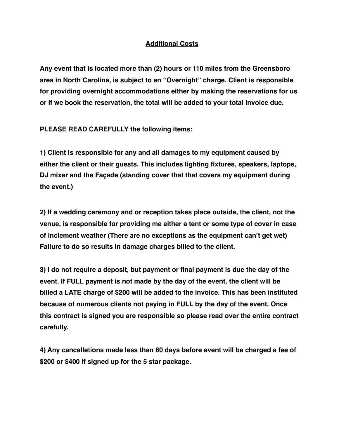## **Additional Costs**

**Any event that is located more than (2) hours or 110 miles from the Greensboro area in North Carolina, is subject to an "Overnight" charge. Client is responsible for providing overnight accommodations either by making the reservations for us or if we book the reservation, the total will be added to your total invoice due.**

**PLEASE READ CAREFULLY the following items:**

**1) Client is responsible for any and all damages to my equipment caused by either the client or their guests. This includes lighting fixtures, speakers, laptops, DJ mixer and the Façade (standing cover that that covers my equipment during the event.)**

**2) If a wedding ceremony and or reception takes place outside, the client, not the venue, is responsible for providing me either a tent or some type of cover in case of inclement weather (There are no exceptions as the equipment can't get wet) Failure to do so results in damage charges billed to the client.**

**3) I do not require a deposit, but payment or final payment is due the day of the event. If FULL payment is not made by the day of the event, the client will be billed a LATE charge of \$200 will be added to the invoice. This has been instituted because of numerous clients not paying in FULL by the day of the event. Once this contract is signed you are responsible so please read over the entire contract carefully.**

**4) Any cancelletions made less than 60 days before event will be charged a fee of \$200 or \$400 if signed up for the 5 star package.**